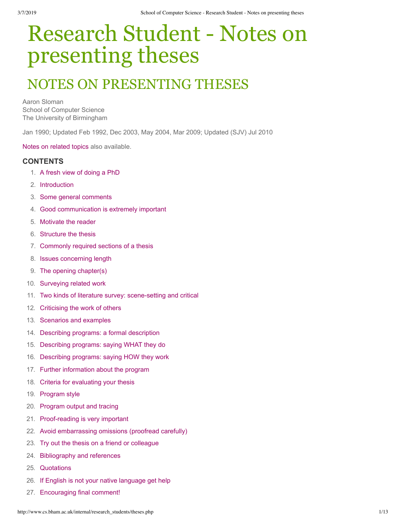# Research Student - Notes on presenting theses

## NOTES ON PRESENTING THESES

Aaron Sloman School of Computer Science The University of Birmingham

Jan 1990; Updated Feb 1992, Dec 2003, May 2004, Mar 2009; Updated (SJV) Jul 2010

[Notes on related topics](http://www.cs.bham.ac.uk/research/projects/poplog/teach) also available.

#### **CONTENTS**

- 1. [A fresh view of doing a PhD](http://www.cs.bham.ac.uk/internal/research_students/theses.php#freshView)
- 2. [Introduction](http://www.cs.bham.ac.uk/internal/research_students/theses.php#intro)
- 3. [Some general comments](http://www.cs.bham.ac.uk/internal/research_students/theses.php#general)
- 4. [Good communication is extremely important](http://www.cs.bham.ac.uk/internal/research_students/theses.php#communication)
- 5. [Motivate the reader](http://www.cs.bham.ac.uk/internal/research_students/theses.php#motivate)
- 6. [Structure the thesis](http://www.cs.bham.ac.uk/internal/research_students/theses.php#structure)
- 7. [Commonly required sections of a thesis](http://www.cs.bham.ac.uk/internal/research_students/theses.php#sections)
- 8. [Issues concerning length](http://www.cs.bham.ac.uk/internal/research_students/theses.php#length)
- 9. [The opening chapter\(s\)](http://www.cs.bham.ac.uk/internal/research_students/theses.php#opening)
- 10. [Surveying related work](http://www.cs.bham.ac.uk/internal/research_students/theses.php#survey)
- 11. Two kinds of literature survey: scene-setting and critical
- 12. [Criticising the work of others](http://www.cs.bham.ac.uk/internal/research_students/theses.php#criticising)
- 13. [Scenarios and examples](http://www.cs.bham.ac.uk/internal/research_students/theses.php#scenarios)
- 14. [Describing programs: a formal description](http://www.cs.bham.ac.uk/internal/research_students/theses.php#progFormal)
- 15. [Describing programs: saying WHAT they do](http://www.cs.bham.ac.uk/internal/research_students/theses.php#progWHAT)
- 16. [Describing programs: saying HOW they work](http://www.cs.bham.ac.uk/internal/research_students/theses.php#progHOW)
- 17. [Further information about the program](http://www.cs.bham.ac.uk/internal/research_students/theses.php#progFurther)
- 18. [Criteria for evaluating your thesis](http://www.cs.bham.ac.uk/internal/research_students/theses.php#criteria)
- 19. [Program style](http://www.cs.bham.ac.uk/internal/research_students/theses.php#progStyle)
- 20. [Program output and tracing](http://www.cs.bham.ac.uk/internal/research_students/theses.php#progOP)
- 21. Proof-reading is very important
- 22. [Avoid embarrassing omissions \(proofread carefully\)](http://www.cs.bham.ac.uk/internal/research_students/theses.php#omissions)
- 23. [Try out the thesis on a friend or colleague](http://www.cs.bham.ac.uk/internal/research_students/theses.php#tryOut)
- 24. [Bibliography and references](http://www.cs.bham.ac.uk/internal/research_students/theses.php#biblio)
- 25. [Quotations](http://www.cs.bham.ac.uk/internal/research_students/theses.php#quotations)
- 26. [If English is not your native language get help](http://www.cs.bham.ac.uk/internal/research_students/theses.php#englishHelp)
- 27. [Encouraging final comment!](http://www.cs.bham.ac.uk/internal/research_students/theses.php#finalComment)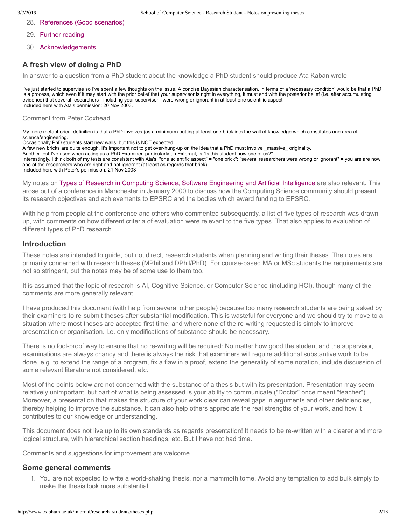- 28. [References \(Good scenarios\)](http://www.cs.bham.ac.uk/internal/research_students/theses.php#refs)
- 29. [Further reading](http://www.cs.bham.ac.uk/internal/research_students/theses.php#reading)
- 30. [Acknowledgements](http://www.cs.bham.ac.uk/internal/research_students/theses.php#acknowledgements)

#### **A fresh view of doing a PhD**

In answer to a question from a PhD student about the knowledge a PhD student should produce Ata Kaban wrote

I've just started to supervise so I've spent a few thoughts on the issue. A concise Bayesian characterisation, in terms of a 'necessary condition' would be that a PhD is a process, which even if it may start with the prior belief that your supervisor is right in everything, it must end with the posterior belief (i.e. after accumulating evidence) that several researchers - including your supervisor - were wrong or ignorant in at least one scientific aspect. Included here with Ata's permission: 20 Nov 2003.

#### Comment from Peter Coxhead

My more metaphorical definition is that a PhD involves (as a minimum) putting at least one brick into the wall of knowledge which constitutes one area of science/engineering.

Occasionally PhD students start new walls, but this is NOT expected.

A few new bricks are quite enough. It's important not to get over-hung-up on the idea that a PhD must involve \_massive\_ originality.

Another test I've used when acting as a PhD Examiner, particularly an External, is "Is this student now one of us?".

Interestingly, I think both of my tests are consistent with Ata's: "one scientific aspect" = "one brick"; "several researchers were wrong or ignorant" = you are are now one of the researchers who are right and not ignorant (at least as regards that brick).

Included here with Peter's permission: 21 Nov 2003

My notes on [Types of Research in Computing Science, Software Engineering and Artificial Intelligence](http://www.cs.bham.ac.uk/~axs/misc/cs-research.html) are also relevant. This arose out of a conference in Manchester in January 2000 to discuss how the Computing Science community should present its research objectives and achievements to EPSRC and the bodies which award funding to EPSRC.

With help from people at the conference and others who commented subsequently, a list of five types of research was drawn up, with comments on how different criteria of evaluation were relevant to the five types. That also applies to evaluation of different types of PhD research.

#### **Introduction**

These notes are intended to guide, but not direct, research students when planning and writing their theses. The notes are primarily concerned with research theses (MPhil and DPhil/PhD). For course-based MA or MSc students the requirements are not so stringent, but the notes may be of some use to them too.

It is assumed that the topic of research is AI, Cognitive Science, or Computer Science (including HCI), though many of the comments are more generally relevant.

I have produced this document (with help from several other people) because too many research students are being asked by their examiners to re-submit theses after substantial modification. This is wasteful for everyone and we should try to move to a situation where most theses are accepted first time, and where none of the re-writing requested is simply to improve presentation or organisation. I.e. only modifications of substance should be necessary.

There is no fool-proof way to ensure that no re-writing will be required: No matter how good the student and the supervisor, examinations are always chancy and there is always the risk that examiners will require additional substantive work to be done, e.g. to extend the range of a program, fix a flaw in a proof, extend the generality of some notation, include discussion of some relevant literature not considered, etc.

Most of the points below are not concerned with the substance of a thesis but with its presentation. Presentation may seem relatively unimportant, but part of what is being assessed is your ability to communicate ("Doctor" once meant "teacher"). Moreover, a presentation that makes the structure of your work clear can reveal gaps in arguments and other deficiencies, thereby helping to improve the substance. It can also help others appreciate the real strengths of your work, and how it contributes to our knowledge or understanding.

This document does not live up to its own standards as regards presentation! It needs to be re-written with a clearer and more logical structure, with hierarchical section headings, etc. But I have not had time.

Comments and suggestions for improvement are welcome.

#### **Some general comments**

1. You are not expected to write a world-shaking thesis, nor a mammoth tome. Avoid any temptation to add bulk simply to make the thesis look more substantial.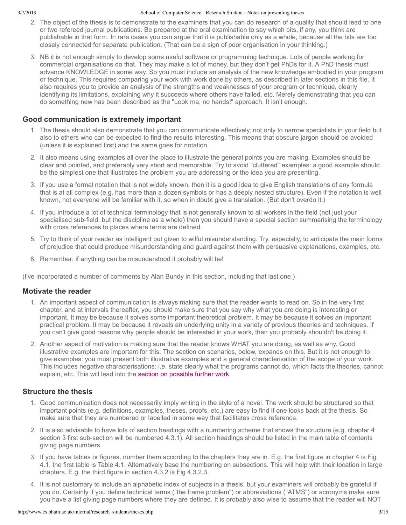- 2. The object of the thesis is to demonstrate to the examiners that you can do research of a quality that should lead to one or two refereed journal publications. Be prepared at the oral examination to say which bits, if any, you think are publishable in that form. In rare cases you can argue that it is publishable only as a whole, because all the bits are too closely connected for separate publication. (That can be a sign of poor organisation in your thinking.)
- 3. NB it is not enough simply to develop some useful software or programming technique. Lots of people working for commercial organisations do that. They may make a lot of money, but they don't get PhDs for it. A PhD thesis must advance KNOWLEDGE in some way. So you must include an analysis of the new knowledge embodied in your program or technique. This requires comparing your work with work done by others, as described in later sections in this file. It also requires you to provide an analysis of the strengths and weaknesses of your program or technique, clearly identifying its limitations, explaining why it succeeds where others have failed, etc. Merely demonstrating that you can do something new has been described as the "Look ma, no hands!" approach. It isn't enough.

## **Good communication is extremely important**

- 1. The thesis should also demonstrate that you can communicate effectively, not only to narrow specialists in your field but also to others who can be expected to find the results interesting. This means that obscure jargon should be avoided (unless it is explained first) and the same goes for notation.
- 2. It also means using examples all over the place to illustrate the general points you are making. Examples should be clear and pointed, and preferably very short and memorable. Try to avoid "cluttered" examples: a good example should be the simplest one that illustrates the problem you are addressing or the idea you are presenting.
- 3. If you use a formal notation that is not widely known, then it is a good idea to give English translations of any formula that is at all complex (e.g. has more than a dozen symbols or has a deeply nested structure). Even if the notation is well known, not everyone will be familiar with it, so when in doubt give a translation. (But don't overdo it.)
- 4. If you introduce a lot of technical terminology that is not generally known to all workers in the field (not just your specialised sub-field, but the discipline as a whole) then you should have a special section summarising the terminology with cross references to places where terms are defined.
- 5. Try to think of your reader as intelligent but given to wilful misunderstanding. Try, especially, to anticipate the main forms of prejudice that could produce misunderstanding and guard against them with persuasive explanations, examples, etc.
- 6. Remember: if anything can be misunderstood it probably will be!

(I've incorporated a number of comments by Alan Bundy in this section, including that last one.)

#### **Motivate the reader**

- 1. An important aspect of communication is always making sure that the reader wants to read on. So in the very first chapter, and at intervals thereafter, you should make sure that you say why what you are doing is interesting or important. It may be because it solves some important theoretical problem. It may be because it solves an important practical problem. It may be because it reveals an underlying unity in a variety of previous theories and techniques. If you can't give good reasons why people should be interested in your work, then you probably shouldn't be doing it.
- 2. Another aspect of motivation is making sure that the reader knows WHAT you are doing, as well as why. Good illustrative examples are important for this. The section on scenarios, below, expands on this. But it is not enough to give examples: you must present both illustrative examples and a general characterisation of the scope of your work. This includes negative characterisations: i.e. state clearly what the programs cannot do, which facts the theories, cannot explain, etc. This will lead into the [section on possible further work.](http://www.cs.bham.ac.uk/internal/research_students/theses.php#furtherWork)

#### **Structure the thesis**

- 1. Good communication does not necessarily imply writing in the style of a novel. The work should be structured so that important points (e.g. definitions, examples, theses, proofs, etc.) are easy to find if one looks back at the thesis. So make sure that they are numbered or labelled in some way that facilitates cross reference.
- 2. It is also advisable to have lots of section headings with a numbering scheme that shows the structure (e.g. chapter 4 section 3 first sub-section will be numbered 4.3.1). All section headings should be listed in the main table of contents giving page numbers.
- 3. If you have tables or figures, number them according to the chapters they are in. E.g. the first figure in chapter 4 is Fig 4.1, the first table is Table 4.1. Alternatively base the numbering on subsections. This will help with their location in large chapters. E.g. the third figure in section 4.3.2 is Fig 4.3.2.3.
- 4. It is not customary to include an alphabetic index of subjects in a thesis, but your examiners will probably be grateful if you do. Certainly if you define technical terms ("the frame problem") or abbreviations ("ATMS") or acronyms make sure you have a list giving page numbers where they are defined. It is probably also wise to assume that the reader will NOT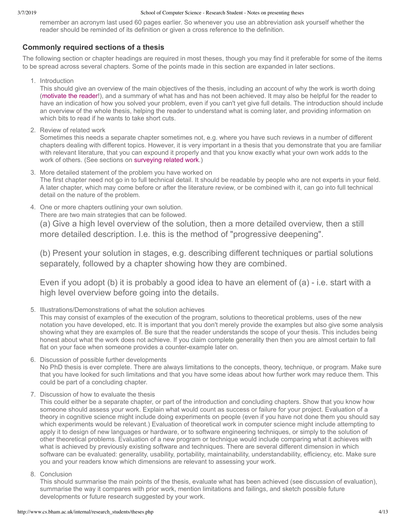remember an acronym last used 60 pages earlier. So whenever you use an abbreviation ask yourself whether the reader should be reminded of its definition or given a cross reference to the definition.

#### **Commonly required sections of a thesis**

The following section or chapter headings are required in most theses, though you may find it preferable for some of the items to be spread across several chapters. Some of the points made in this section are expanded in later sections.

1. Introduction

This should give an overview of the main objectives of the thesis, including an account of why the work is worth doing [\(motivate the reader](http://www.cs.bham.ac.uk/internal/research_students/theses.php#motivate)!), and a summary of what has and has not been achieved. It may also be helpful for the reader to have an indication of how you solved your problem, even if you can't yet give full details. The introduction should include an overview of the whole thesis, helping the reader to understand what is coming later, and providing information on which bits to read if he wants to take short cuts.

2. Review of related work

Sometimes this needs a separate chapter sometimes not, e.g. where you have such reviews in a number of different chapters dealing with different topics. However, it is very important in a thesis that you demonstrate that you are familiar with relevant literature, that you can expound it properly and that you know exactly what your own work adds to the work of others. (See sections on [surveying related work](http://www.cs.bham.ac.uk/internal/research_students/theses.php#survey).)

3. More detailed statement of the problem you have worked on

The first chapter need not go in to full technical detail. It should be readable by people who are not experts in your field. A later chapter, which may come before or after the literature review, or be combined with it, can go into full technical detail on the nature of the problem.

4. One or more chapters outlining your own solution.

There are two main strategies that can be followed.

(a) Give a high level overview of the solution, then a more detailed overview, then a still more detailed description. I.e. this is the method of "progressive deepening".

(b) Present your solution in stages, e.g. describing different techniques or partial solutions separately, followed by a chapter showing how they are combined.

Even if you adopt (b) it is probably a good idea to have an element of  $(a)$  - i.e. start with a high level overview before going into the details.

5. Illustrations/Demonstrations of what the solution achieves

This may consist of examples of the execution of the program, solutions to theoretical problems, uses of the new notation you have developed, etc. It is important that you don't merely provide the examples but also give some analysis showing what they are examples of. Be sure that the reader understands the scope of your thesis. This includes being honest about what the work does not achieve. If you claim complete generality then then you are almost certain to fall flat on your face when someone provides a counter-example later on.

6. Discussion of possible further developments

No PhD thesis is ever complete. There are always limitations to the concepts, theory, technique, or program. Make sure that you have looked for such limitations and that you have some ideas about how further work may reduce them. This could be part of a concluding chapter.

7. Discussion of how to evaluate the thesis

This could either be a separate chapter, or part of the introduction and concluding chapters. Show that you know how someone should assess your work. Explain what would count as success or failure for your project. Evaluation of a theory in cognitive science might include doing experiments on people (even if you have not done them you should say which experiments would be relevant.) Evaluation of theoretical work in computer science might include attempting to apply it to design of new languages or hardware, or to software engineering techniques, or simply to the solution of other theoretical problems. Evaluation of a new program or technique would include comparing what it achieves with what is achieved by previously existing software and techniques. There are several different dimension in which software can be evaluated: generality, usability, portability, maintainability, understandability, efficiency, etc. Make sure you and your readers know which dimensions are relevant to assessing your work.

8. Conclusion

This should summarise the main points of the thesis, evaluate what has been achieved (see discussion of evaluation), summarise the way it compares with prior work, mention limitations and failings, and sketch possible future developments or future research suggested by your work.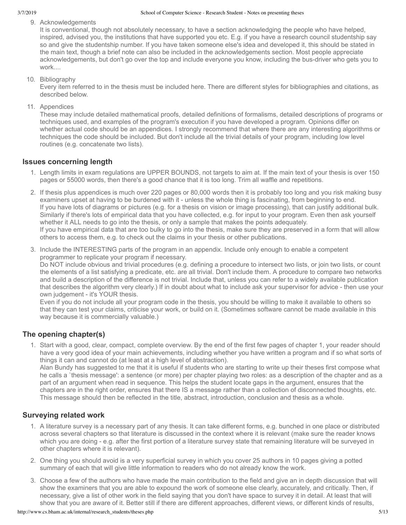9. Acknowledgements

It is conventional, though not absolutely necessary, to have a section acknowledging the people who have helped, inspired, advised you, the institutions that have supported you etc. E.g. if you have a research council studentship say so and give the studentship number. If you have taken someone else's idea and developed it, this should be stated in the main text, though a brief note can also be included in the acknowledgements section. Most people appreciate acknowledgements, but don't go over the top and include everyone you know, including the bus-driver who gets you to work....

10. Bibliography

Every item referred to in the thesis must be included here. There are different styles for bibliographies and citations, as described below.

11. Appendices

These may include detailed mathematical proofs, detailed definitions of formalisms, detailed descriptions of programs or techniques used, and examples of the program's execution if you have developed a program. Opinions differ on whether actual code should be an appendices. I strongly recommend that where there are any interesting algorithms or techniques the code should be included. But don't include all the trivial details of your program, including low level routines (e.g. concatenate two lists).

#### **Issues concerning length**

- 1. Length limits in exam regulations are UPPER BOUNDS, not targets to aim at. If the main text of your thesis is over 150 pages or 55000 words, then there's a good chance that it is too long. Trim all waffle and repetitions.
- 2. If thesis plus appendices is much over 220 pages or 80,000 words then it is probably too long and you risk making busy examiners upset at having to be burdened with it - unless the whole thing is fascinating, from beginning to end. If you have lots of diagrams or pictures (e.g. for a thesis on vision or image processing), that can justify additional bulk. Similarly if there's lots of empirical data that you have collected, e.g. for input to your program. Even then ask yourself whether it ALL needs to go into the thesis, or only a sample that makes the points adequately. If you have empirical data that are too bulky to go into the thesis, make sure they are preserved in a form that will allow others to access them, e.g. to check out the claims in your thesis or other publications.
- 3. Include the INTERESTING parts of the program in an appendix. Include only enough to enable a competent programmer to replicate your program if necessary. Do NOT include obvious and trivial procedures (e.g. defining a procedure to intersect two lists, or join two lists, or count

the elements of a list satisfying a predicate, etc. are all trivial. Don't include them. A procedure to compare two networks and build a description of the difference is not trivial. Include that, unless you can refer to a widely available publication that describes the algorithm very clearly.) If in doubt about what to include ask your supervisor for advice then use your own judgement - it's YOUR thesis.

Even if you do not include all your program code in the thesis, you should be willing to make it available to others so that they can test your claims, criticise your work, or build on it. (Sometimes software cannot be made available in this way because it is commercially valuable.)

#### **The opening chapter(s)**

1. Start with a good, clear, compact, complete overview. By the end of the first few pages of chapter 1, your reader should have a very good idea of your main achievements, including whether you have written a program and if so what sorts of things it can and cannot do (at least at a high level of abstraction).

Alan Bundy has suggested to me that it is useful if students who are starting to write up their theses first compose what he calls a `thesis message': a sentence (or more) per chapter playing two roles: as a description of the chapter and as a part of an argument when read in sequence. This helps the student locate gaps in the argument, ensures that the chapters are in the right order, ensures that there IS a message rather than a collection of disconnected thoughts, etc. This message should then be reflected in the title, abstract, introduction, conclusion and thesis as a whole.

#### **Surveying related work**

- 1. A literature survey is a necessary part of any thesis. It can take different forms, e.g. bunched in one place or distributed across several chapters so that literature is discussed in the context where it is relevant (make sure the reader knows which you are doing - e.g. after the first portion of a literature survey state that remaining literature will be surveyed in other chapters where it is relevant).
- 2. One thing you should avoid is a very superficial survey in which you cover 25 authors in 10 pages giving a potted summary of each that will give little information to readers who do not already know the work.
- 3. Choose a few of the authors who have made the main contribution to the field and give an in depth discussion that will show the examiners that you are able to expound the work of someone else clearly, accurately, and critically. Then, if necessary, give a list of other work in the field saying that you don't have space to survey it in detail. At least that will show that you are aware of it. Better still if there are different approaches, different views, or different kinds of results,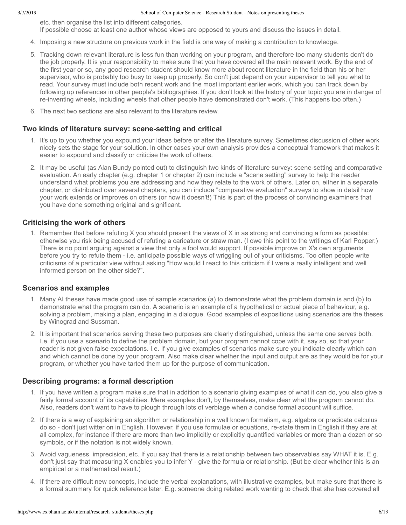etc. then organise the list into different categories. If possible choose at least one author whose views are opposed to yours and discuss the issues in detail.

- 4. Imposing a new structure on previous work in the field is one way of making a contribution to knowledge.
- 5. Tracking down relevant literature is less fun than working on your program, and therefore too many students don't do the job properly. It is your responsibility to make sure that you have covered all the main relevant work. By the end of the first year or so, any good research student should know more about recent literature in the field than his or her supervisor, who is probably too busy to keep up properly. So don't just depend on your supervisor to tell you what to read. Your survey must include both recent work and the most important earlier work, which you can track down by following up references in other people's bibliographies. If you don't look at the history of your topic you are in danger of re-inventing wheels, including wheels that other people have demonstrated don't work. (This happens too often.)
- 6. The next two sections are also relevant to the literature review.

#### Two kinds of literature survey: scene-setting and critical

- 1. It's up to you whether you expound your ideas before or after the literature survey. Sometimes discussion of other work nicely sets the stage for your solution. In other cases your own analysis provides a conceptual framework that makes it easier to expound and classify or criticise the work of others.
- 2. It may be useful (as Alan Bundy pointed out) to distinguish two kinds of literature survey: scenesetting and comparative evaluation. An early chapter (e.g. chapter 1 or chapter 2) can include a "scene setting" survey to help the reader understand what problems you are addressing and how they relate to the work of others. Later on, either in a separate chapter, or distributed over several chapters, you can include "comparative evaluation" surveys to show in detail how your work extends or improves on others (or how it doesn't!) This is part of the process of convincing examiners that you have done something original and significant.

#### **Criticising the work of others**

1. Remember that before refuting X you should present the views of X in as strong and convincing a form as possible: otherwise you risk being accused of refuting a caricature or straw man. (I owe this point to the writings of Karl Popper.) There is no point arguing against a view that only a fool would support. If possible improve on X's own arguments before you try to refute them i.e. anticipate possible ways of wriggling out of your criticisms. Too often people write criticisms of a particular view without asking "How would I react to this criticism if I were a really intelligent and well informed person on the other side?".

#### **Scenarios and examples**

- 1. Many AI theses have made good use of sample scenarios (a) to demonstrate what the problem domain is and (b) to demonstrate what the program can do. A scenario is an example of a hypothetical or actual piece of behaviour, e.g. solving a problem, making a plan, engaging in a dialogue. Good examples of expositions using scenarios are the theses by Winograd and Sussman.
- 2. It is important that scenarios serving these two purposes are clearly distinguished, unless the same one serves both. I.e. if you use a scenario to define the problem domain, but your program cannot cope with it, say so, so that your reader is not given false expectations. I.e. If you give examples of scenarios make sure you indicate clearly which can and which cannot be done by your program. Also make clear whether the input and output are as they would be for your program, or whether you have tarted them up for the purpose of communication.

#### **Describing programs: a formal description**

- 1. If you have written a program make sure that in addition to a scenario giving examples of what it can do, you also give a fairly formal account of its capabilities. Mere examples don't, by themselves, make clear what the program cannot do. Also, readers don't want to have to plough through lots of verbiage when a concise formal account will suffice.
- 2. If there is a way of explaining an algorithm or relationship in a well known formalism, e.g. algebra or predicate calculus do so - don't just witter on in English. However, if you use formulae or equations, re-state them in English if they are at all complex, for instance if there are more than two implicitly or explicitly quantified variables or more than a dozen or so symbols, or if the notation is not widely known.
- 3. Avoid vagueness, imprecision, etc. If you say that there is a relationship between two observables say WHAT it is. E.g. don't just say that measuring X enables you to infer Y - give the formula or relationship. (But be clear whether this is an empirical or a mathematical result.)
- 4. If there are difficult new concepts, include the verbal explanations, with illustrative examples, but make sure that there is a formal summary for quick reference later. E.g. someone doing related work wanting to check that she has covered all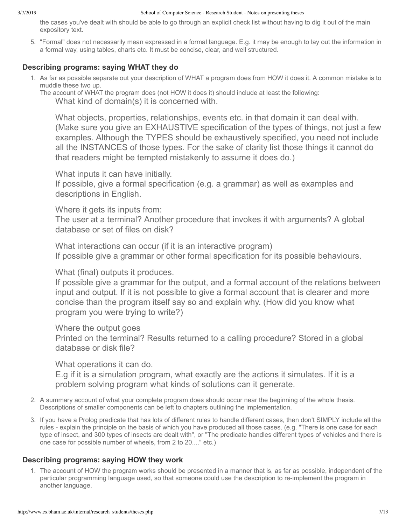the cases you've dealt with should be able to go through an explicit check list without having to dig it out of the main expository text.

5. "Formal" does not necessarily mean expressed in a formal language. E.g. it may be enough to lay out the information in a formal way, using tables, charts etc. It must be concise, clear, and well structured.

#### **Describing programs: saying WHAT they do**

- 1. As far as possible separate out your description of WHAT a program does from HOW it does it. A common mistake is to muddle these two up.
	- The account of WHAT the program does (not HOW it does it) should include at least the following:

What kind of domain(s) it is concerned with.

What objects, properties, relationships, events etc. in that domain it can deal with. (Make sure you give an EXHAUSTIVE specification of the types of things, not just a few examples. Although the TYPES should be exhaustively specified, you need not include all the INSTANCES of those types. For the sake of clarity list those things it cannot do that readers might be tempted mistakenly to assume it does do.)

What inputs it can have initially.

If possible, give a formal specification (e.g. a grammar) as well as examples and descriptions in English.

Where it gets its inputs from:

The user at a terminal? Another procedure that invokes it with arguments? A global database or set of files on disk?

What interactions can occur (if it is an interactive program) If possible give a grammar or other formal specification for its possible behaviours.

What (final) outputs it produces.

If possible give a grammar for the output, and a formal account of the relations between input and output. If it is not possible to give a formal account that is clearer and more concise than the program itself say so and explain why. (How did you know what program you were trying to write?)

Where the output goes

Printed on the terminal? Results returned to a calling procedure? Stored in a global database or disk file?

What operations it can do.

E.g if it is a simulation program, what exactly are the actions it simulates. If it is a problem solving program what kinds of solutions can it generate.

- 2. A summary account of what your complete program does should occur near the beginning of the whole thesis. Descriptions of smaller components can be left to chapters outlining the implementation.
- 3. If you have a Prolog predicate that has lots of different rules to handle different cases, then don't SIMPLY include all the rules - explain the principle on the basis of which you have produced all those cases. (e.g. "There is one case for each type of insect, and 300 types of insects are dealt with", or "The predicate handles different types of vehicles and there is one case for possible number of wheels, from 2 to 20...." etc.)

## **Describing programs: saying HOW they work**

1. The account of HOW the program works should be presented in a manner that is, as far as possible, independent of the particular programming language used, so that someone could use the description to re-implement the program in another language.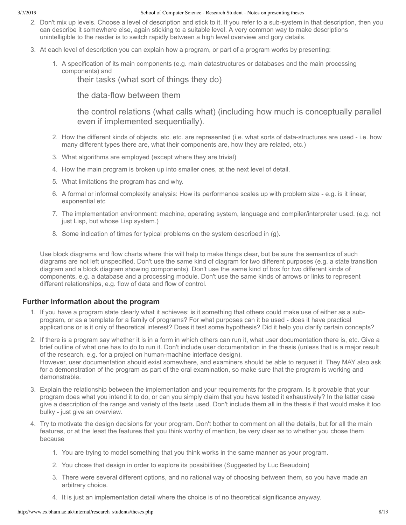- 2. Don't mix up levels. Choose a level of description and stick to it. If you refer to a subsystem in that description, then you can describe it somewhere else, again sticking to a suitable level. A very common way to make descriptions unintelligible to the reader is to switch rapidly between a high level overview and gory details.
- 3. At each level of description you can explain how a program, or part of a program works by presenting:
	- 1. A specification of its main components (e.g. main datastructures or databases and the main processing components) and

their tasks (what sort of things they do)

the data-flow between them

the control relations (what calls what) (including how much is conceptually parallel even if implemented sequentially).

- 2. How the different kinds of objects, etc. etc. are represented (i.e. what sorts of data-structures are used i.e. how many different types there are, what their components are, how they are related, etc.)
- 3. What algorithms are employed (except where they are trivial)
- 4. How the main program is broken up into smaller ones, at the next level of detail.
- 5. What limitations the program has and why.
- 6. A formal or informal complexity analysis: How its performance scales up with problem size e.g. is it linear, exponential etc
- 7. The implementation environment: machine, operating system, language and compiler/interpreter used. (e.g. not just Lisp, but whose Lisp system.)
- 8. Some indication of times for typical problems on the system described in (g).

Use block diagrams and flow charts where this will help to make things clear, but be sure the semantics of such diagrams are not left unspecified. Don't use the same kind of diagram for two different purposes (e.g. a state transition diagram and a block diagram showing components). Don't use the same kind of box for two different kinds of components, e.g. a database and a processing module. Don't use the same kinds of arrows or links to represent different relationships, e.g. flow of data and flow of control.

#### **Further information about the program**

1. If you have a program state clearly what it achieves: is it something that others could make use of either as a subprogram, or as a template for a family of programs? For what purposes can it be used - does it have practical applications or is it only of theoretical interest? Does it test some hypothesis? Did it help you clarify certain concepts?

2. If there is a program say whether it is in a form in which others can run it, what user documentation there is, etc. Give a brief outline of what one has to do to run it. Don't include user documentation in the thesis (unless that is a major result of the research, e.g. for a project on human-machine interface design). However, user documentation should exist somewhere, and examiners should be able to request it. They MAY also ask for a demonstration of the program as part of the oral examination, so make sure that the program is working and demonstrable.

- 3. Explain the relationship between the implementation and your requirements for the program. Is it provable that your program does what you intend it to do, or can you simply claim that you have tested it exhaustively? In the latter case give a description of the range and variety of the tests used. Don't include them all in the thesis if that would make it too bulky - just give an overview.
- 4. Try to motivate the design decisions for your program. Don't bother to comment on all the details, but for all the main features, or at the least the features that you think worthy of mention, be very clear as to whether you chose them because
	- 1. You are trying to model something that you think works in the same manner as your program.
	- 2. You chose that design in order to explore its possibilities (Suggested by Luc Beaudoin)
	- 3. There were several different options, and no rational way of choosing between them, so you have made an arbitrary choice.
	- 4. It is just an implementation detail where the choice is of no theoretical significance anyway.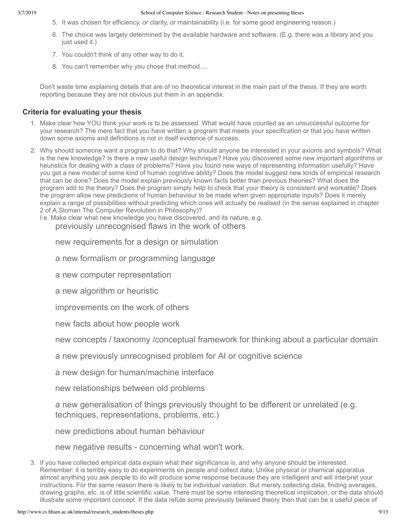- 5. It was chosen for efficiency, or clarity, or maintainability (i.e. for some good engineering reason.)
- 6. The choice was largely determined by the available hardware and software. (E.g. there was a library and you just used it.)
- 7. You couldn't think of any other way to do it.
- 8. You can't remember why you chose that method....

Don't waste time explaining details that are of no theoretical interest in the main part of the thesis. If they are worth reporting because they are not obvious put them in an appendix.

#### **Criteria for evaluating your thesis**

- 1. Make clear how YOU think your work is to be assessed. What would have counted as an unsuccessful outcome for your research? The mere fact that you have written a program that meets your specification or that you have written down some axioms and definitions is not in itself evidence of success.
- 2. Why should someone want a program to do that? Why should anyone be interested in your axioms and symbols? What is the new knowledge? Is there a new useful design technique? Have you discovered some new important algorithms or heuristics for dealing with a class of problems? Have you found new ways of representing information usefully? Have you got a new model of some kind of human cognitive ability? Does the model suggest new kinds of empirical research that can be done? Does the model explain previously known facts better than previous theories? What does the program add to the theory? Does the program simply help to check that your theory is consistent and workable? Does the program allow new predictions of human behaviour to be made when given appropriate inputs? Does it merely explain a range of possibilities without predicting which ones will actually be realised (in the sense explained in chapter 2 of A.Sloman The Computer Revolution in Philosophy)?

I.e. Make clear what new knowledge you have discovered, and its nature, e.g.

previously unrecognised flaws in the work of others

new requirements for a design or simulation

a new formalism or programming language

a new computer representation

a new algorithm or heuristic

improvements on the work of others

new facts about how people work

new concepts / taxonomy /conceptual framework for thinking about a particular domain

a new previously unrecognised problem for AI or cognitive science

a new design for human/machine interface

new relationships between old problems

a new generalisation of things previously thought to be different or unrelated (e.g. techniques, representations, problems, etc.)

new predictions about human behaviour

new negative results - concerning what won't work.

3. If you have collected empirical data explain what their significance is, and why anyone should be interested. Remember: it is terribly easy to do experiments on people and collect data. Unlike physical or chemical apparatus almost anything you ask people to do will produce some response because they are intelligent and will interpret your instructions. For the same reason there is likely to be individual variation. But merely collecting data, finding averages, drawing graphs, etc. is of little scientific value. There must be some interesting theoretical implication, or the data should illustrate some important concept. If the data refute some previously believed theory then that can be a useful piece of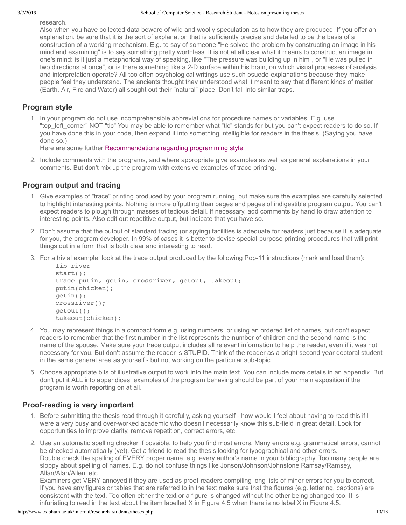research.

Also when you have collected data beware of wild and woolly speculation as to how they are produced. If you offer an explanation, be sure that it is the sort of explanation that is sufficiently precise and detailed to be the basis of a construction of a working mechanism. E.g. to say of someone "He solved the problem by constructing an image in his mind and examining" is to say something pretty worthless. It is not at all clear what it means to construct an image in one's mind: is it just a metaphorical way of speaking, like "The pressure was building up in him", or "He was pulled in two directions at once", or is there something like a 2-D surface within his brain, on which visual processes of analysis and interpretation operate? All too often psychological writings use such psuedo-explanations because they make people feel they understand. The ancients thought they understood what it meant to say that different kinds of matter (Earth, Air, Fire and Water) all sought out their "natural" place. Don't fall into similar traps.

## **Program style**

1. In your program do not use incomprehensible abbreviations for procedure names or variables. E.g. use "top\_left\_corner" NOT "tlc" You may be able to remember what "tlc" stands for but you can't expect readers to do so. If you have done this in your code, then expand it into something intelligible for readers in the thesis. (Saying you have done so.)

Here are some further [Recommendations regarding programming style.](http://www.cs.bham.ac.uk/research/projects/poplog/teach/progstyle)

2. Include comments with the programs, and where appropriate give examples as well as general explanations in your comments. But don't mix up the program with extensive examples of trace printing.

## **Program output and tracing**

- 1. Give examples of "trace" printing produced by your program running, but make sure the examples are carefully selected to highlight interesting points. Nothing is more offputting than pages and pages of indigestible program output. You can't expect readers to plough through masses of tedious detail. If necessary, add comments by hand to draw attention to interesting points. Also edit out repetitive output, but indicate that you have so.
- 2. Don't assume that the output of standard tracing (or spying) facilities is adequate for readers just because it is adequate for you, the program developer. In 99% of cases it is better to devise special-purpose printing procedures that will print things out in a form that is both clear and interesting to read.
- 3. For a trivial example, look at the trace output produced by the following Pop-11 instructions (mark and load them):

```
 lib river
start();
trace putin, getin, crossriver, getout, takeout;
putin(chicken);
getin();
crossriver();
getout();
takeout(chicken);
```
- 4. You may represent things in a compact form e.g. using numbers, or using an ordered list of names, but don't expect readers to remember that the first number in the list represents the number of children and the second name is the name of the spouse. Make sure your trace output includes all relevant information to help the reader, even if it was not necessary for you. But don't assume the reader is STUPID. Think of the reader as a bright second year doctoral student in the same general area as yourself - but not working on the particular sub-topic.
- 5. Choose appropriate bits of illustrative output to work into the main text. You can include more details in an appendix. But don't put it ALL into appendices: examples of the program behaving should be part of your main exposition if the program is worth reporting on at all.

#### **Proof-reading is very important**

- 1. Before submitting the thesis read through it carefully, asking yourself how would I feel about having to read this if I were a very busy and over-worked academic who doesn't necessarily know this sub-field in great detail. Look for opportunities to improve clarity, remove repetition, correct errors, etc.
- 2. Use an automatic spelling checker if possible, to help you find most errors. Many errors e.g. grammatical errors, cannot be checked automatically (yet). Get a friend to read the thesis looking for typographical and other errors. Double check the spelling of EVERY proper name, e.g. every author's name in your bibliography. Too many people are sloppy about spelling of names. E.g. do not confuse things like Jonson/Johnson/Johnstone Ramsay/Ramsey, Allan/Alan/Allen, etc.

Examiners get VERY annoyed if they are used as proof-readers compiling long lists of minor errors for you to correct. If you have any figures or tables that are referred to in the text make sure that the figures (e.g. lettering, captions) are consistent with the text. Too often either the text or a figure is changed without the other being changed too. It is infuriating to read in the text about the item labelled X in Figure 4.5 when there is no label X in Figure 4.5.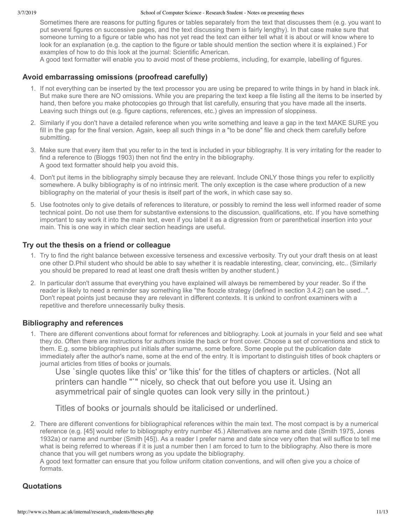Sometimes there are reasons for putting figures or tables separately from the text that discusses them (e.g. you want to put several figures on successive pages, and the text discussing them is fairly lengthy). In that case make sure that someone turning to a figure or table who has not yet read the text can either tell what it is about or will know where to look for an explanation (e.g. the caption to the figure or table should mention the section where it is explained.) For examples of how to do this look at the journal: Scientific American.

A good text formatter will enable you to avoid most of these problems, including, for example, labelling of figures.

#### **Avoid embarrassing omissions (proofread carefully)**

- 1. If not everything can be inserted by the text processor you are using be prepared to write things in by hand in black ink. But make sure there are NO omissions. While you are preparing the text keep a file listing all the items to be inserted by hand, then before you make photocopies go through that list carefully, ensuring that you have made all the inserts. Leaving such things out (e.g. figure captions, references, etc.) gives an impression of sloppiness.
- 2. Similarly if you don't have a detailed reference when you write something and leave a gap in the text MAKE SURE you fill in the gap for the final version. Again, keep all such things in a "to be done" file and check them carefully before submitting.
- 3. Make sure that every item that you refer to in the text is included in your bibliography. It is very irritating for the reader to find a reference to (Bloggs 1903) then not find the entry in the bibliography. A good text formatter should help you avoid this.
- 4. Don't put items in the bibliography simply because they are relevant. Include ONLY those things you refer to explicitly somewhere. A bulky bibliography is of no intrinsic merit. The only exception is the case where production of a new bibliography on the material of your thesis is itself part of the work, in which case say so.
- 5. Use footnotes only to give details of references to literature, or possibly to remind the less well informed reader of some technical point. Do not use them for substantive extensions to the discussion, qualifications, etc. If you have something important to say work it into the main text, even if you label it as a digression from or parenthetical insertion into your main. This is one way in which clear section headings are useful.

#### **Try out the thesis on a friend or colleague**

- 1. Try to find the right balance between excessive terseness and excessive verbosity. Try out your draft thesis on at least one other D.Phil student who should be able to say whether it is readable interesting, clear, convincing, etc.. (Similarly you should be prepared to read at least one draft thesis written by another student.)
- 2. In particular don't assume that everything you have explained will always be remembered by your reader. So if the reader is likely to need a reminder say something like "the floozle strategy (defined in section 3.4.2) can be used...". Don't repeat points just because they are relevant in different contexts. It is unkind to confront examiners with a repetitive and therefore unnecessarily bulky thesis.

#### **Bibliography and references**

1. There are different conventions about format for references and bibliography. Look at journals in your field and see what they do. Often there are instructions for authors inside the back or front cover. Choose a set of conventions and stick to them. E.g. some bibliographies put initials after surname, some before. Some people put the publication date immediately after the author's name, some at the end of the entry. It is important to distinguish titles of book chapters or journal articles from titles of books or journals.

Use `single quotes like this' or 'like this' for the titles of chapters or articles. (Not all printers can handle "`" nicely, so check that out before you use it. Using an asymmetrical pair of single quotes can look very silly in the printout.)

Titles of books or journals should be italicised or underlined.

2. There are different conventions for bibliographical references within the main text. The most compact is by a numerical reference (e.g. [45] would refer to bibliography entry number 45.) Alternatives are name and date (Smith 1975, Jones 1932a) or name and number (Smith [45]). As a reader I prefer name and date since very often that will suffice to tell me what is being referred to whereas if it is just a number then I am forced to turn to the bibliography. Also there is more chance that you will get numbers wrong as you update the bibliography.

A good text formatter can ensure that you follow uniform citation conventions, and will often give you a choice of formats.

#### **Quotations**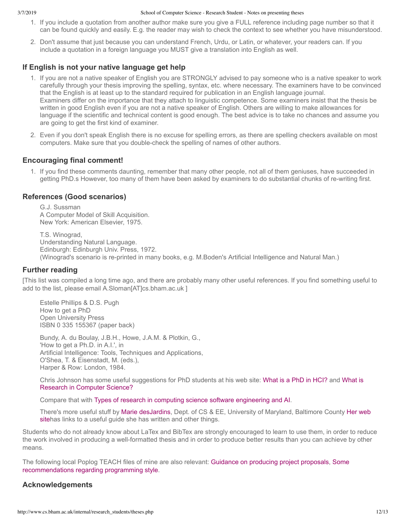- 1. If you include a quotation from another author make sure you give a FULL reference including page number so that it can be found quickly and easily. E.g. the reader may wish to check the context to see whether you have misunderstood.
- 2. Don't assume that just because you can understand French, Urdu, or Latin, or whatever, your readers can. If you include a quotation in a foreign language you MUST give a translation into English as well.

#### **If English is not your native language get help**

- 1. If you are not a native speaker of English you are STRONGLY advised to pay someone who is a native speaker to work carefully through your thesis improving the spelling, syntax, etc. where necessary. The examiners have to be convinced that the English is at least up to the standard required for publication in an English language journal. Examiners differ on the importance that they attach to linguistic competence. Some examiners insist that the thesis be written in good English even if you are not a native speaker of English. Others are willing to make allowances for language if the scientific and technical content is good enough. The best advice is to take no chances and assume you are going to get the first kind of examiner.
- 2. Even if you don't speak English there is no excuse for spelling errors, as there are spelling checkers available on most computers. Make sure that you double-check the spelling of names of other authors.

#### **Encouraging final comment!**

1. If you find these comments daunting, remember that many other people, not all of them geniuses, have succeeded in getting PhD.s However, too many of them have been asked by examiners to do substantial chunks of re-writing first.

#### **References (Good scenarios)**

G.J. Sussman A Computer Model of Skill Acquisition. New York: American Elsevier, 1975.

T.S. Winograd, Understanding Natural Language. Edinburgh: Edinburgh Univ. Press, 1972. (Winograd's scenario is re-printed in many books, e.g. M.Boden's Artificial Intelligence and Natural Man.)

#### **Further reading**

[This list was compiled a long time ago, and there are probably many other useful references. If you find something useful to add to the list, please email A.Sloman[AT]cs.bham.ac.uk ]

Estelle Phillips & D.S. Pugh How to get a PhD Open University Press ISBN 0 335 155367 (paper back)

Bundy, A. du Boulay, J.B.H., Howe, J.A.M. & Plotkin, G., 'How to get a Ph.D. in A.I.', in Artificial Intelligence: Tools, Techniques and Applications, O'Shea, T. & Eisenstadt, M. (eds.), Harper & Row: London, 1984.

[Chris Johnson has some useful suggestions for PhD students at his web site:](http://www.dcs.gla.ac.uk/~johnson/teaching/research_skills/research.html) [What is a PhD in HCI?](http://www.dcs.gla.ac.uk/~johnson/papers/phd.html) and What is Research in Computer Science?

Compare that with [Types of research in computing science software engineering and AI.](http://www.cs.bham.ac.uk/~axs/misc/cs-research.html)

There's more useful stuff by [M](http://www.cs.umbc.edu/~mariedj/papers/advice-summary.html)[arie desJardin](http://www.cs.umbc.edu/~mariedj/)[s, Dept. of CS & EE, University of Maryland, Baltimore County](http://www.cs.umbc.edu/~mariedj/papers/advice-summary.html) Her web sitehas links to a useful guide she has written and other things.

Students who do not already know about LaTex and BibTex are strongly encouraged to learn to use them, in order to reduce the work involved in producing a well-formatted thesis and in order to produce better results than you can achieve by other means.

[The following local Poplog TEACH files of mine are also relevant:](http://www.cs.bham.ac.uk/research/projects/poplog/teach/progstyle) [Guidance on producing project proposals](http://www.cs.bham.ac.uk/research/projects/poplog/teach/proposals), Some recommendations regarding programming style.

#### **Acknowledgements**